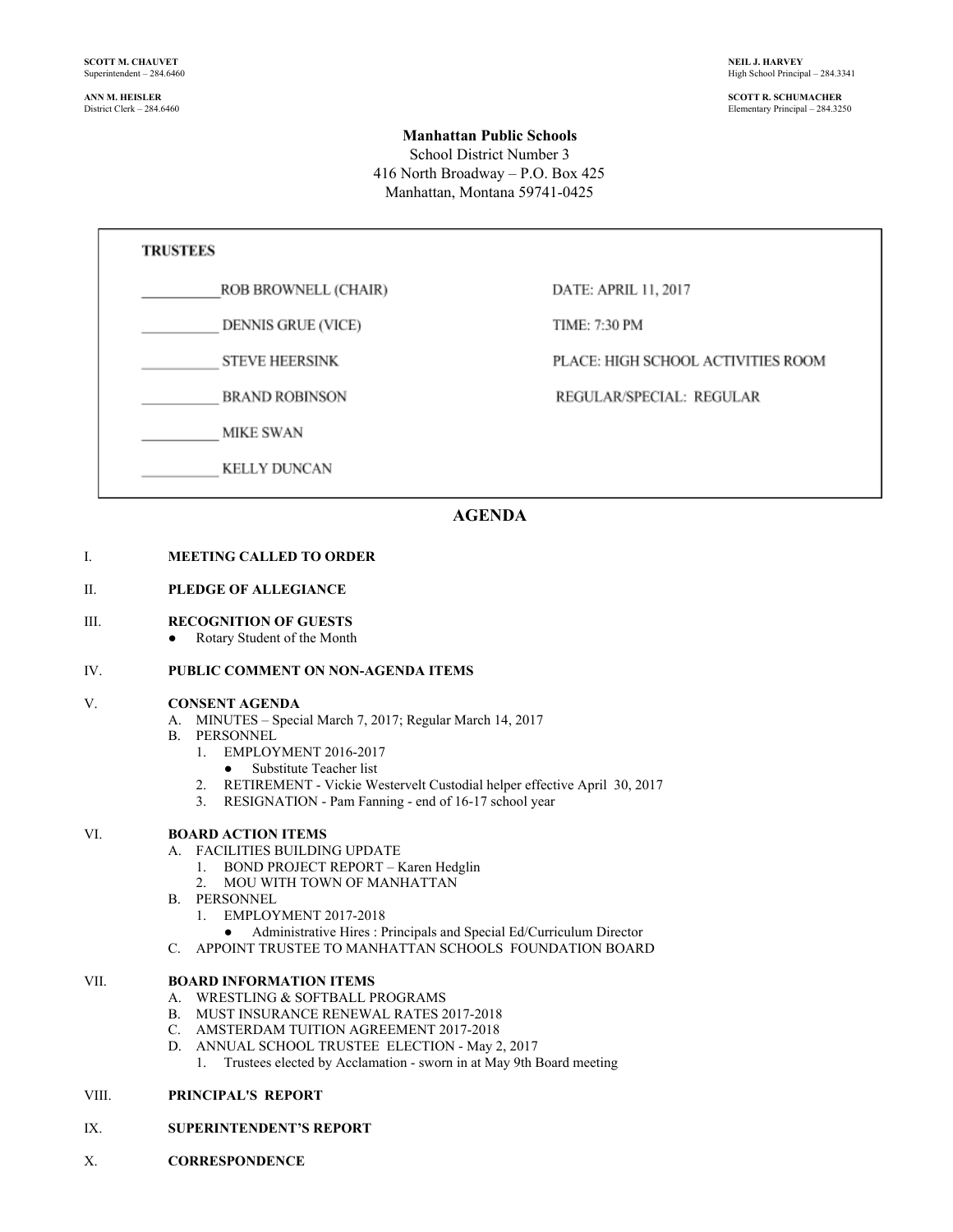High School Principal – 284.3341

**ANN M. HEISLER SCOTT R. SCHUMACHER** Elementary Principal – 284.3250

#### **Manhattan Public Schools**

School District Number 3 416 North Broadway – P.O. Box 425 Manhattan, Montana 59741-0425

## **TRUSTEES**

### ROB BROWNELL (CHAIR)

**DENNIS GRUE (VICE)** 

**STEVE HEERSINK** 

**BRAND ROBINSON** 

**MIKE SWAN** 

**KELLY DUNCAN** 

DATE: APRIL 11, 2017

TIME: 7:30 PM

PLACE: HIGH SCHOOL ACTIVITIES ROOM

REGULAR/SPECIAL: REGULAR

## **AGENDA**

#### I. **MEETING CALLED TO ORDER**

#### II. **PLEDGE OF ALLEGIANCE**

#### III. **RECOGNITION OF GUESTS**

**●** Rotary Student of the Month

#### IV. **PUBLIC COMMENT ON NON-AGENDA ITEMS**

#### V. **CONSENT AGENDA**

- A. MINUTES Special March 7, 2017; Regular March 14, 2017
- B. PERSONNEL
	- 1. EMPLOYMENT 2016-2017
		- Substitute Teacher list
	- 2. RETIREMENT Vickie Westervelt Custodial helper effective April 30, 2017
	- 3. RESIGNATION Pam Fanning end of 16-17 school year

#### VI. **BOARD ACTION ITEMS**

- A. FACILITIES BUILDING UPDATE
	- 1. BOND PROJECT REPORT Karen Hedglin
	- 2. MOU WITH TOWN OF MANHATTAN
- B. PERSONNEL
	- 1. EMPLOYMENT 2017-2018
	- Administrative Hires : Principals and Special Ed/Curriculum Director
- C. APPOINT TRUSTEE TO MANHATTAN SCHOOLS FOUNDATION BOARD

#### VII. **BOARD INFORMATION ITEMS**

- A. WRESTLING & SOFTBALL PROGRAMS
- B. MUST INSURANCE RENEWAL RATES 2017-2018
- C. AMSTERDAM TUITION AGREEMENT 2017-2018
- D. ANNUAL SCHOOL TRUSTEE ELECTION May 2, 2017
	- 1. Trustees elected by Acclamation sworn in at May 9th Board meeting

#### VIII. **PRINCIPAL'S REPORT**

#### IX. **SUPERINTENDENT'S REPORT**

X. **CORRESPONDENCE**